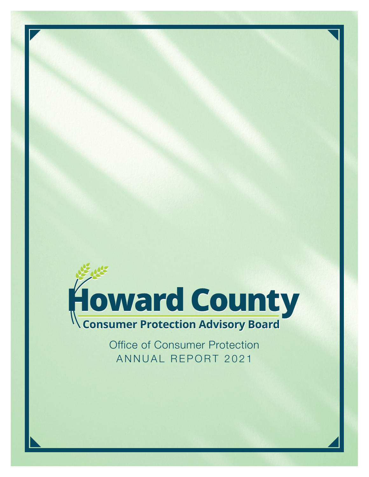

Office of Consumer Protection ANNUAL REPORT 2021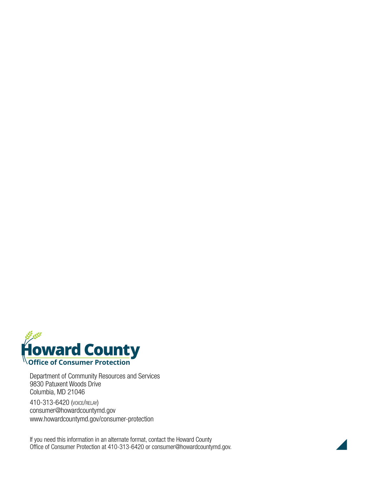

Department of Community Resources and Services 9830 Patuxent Woods Drive Columbia, MD 21046

410-313-6420 (voice/relay) consumer@howardcountymd.gov www.howardcountymd.gov/consumer-protection

If you need this information in an alternate format, contact the Howard County Office of Consumer Protection at 410-313-6420 or consumer@howardcountymd.gov.

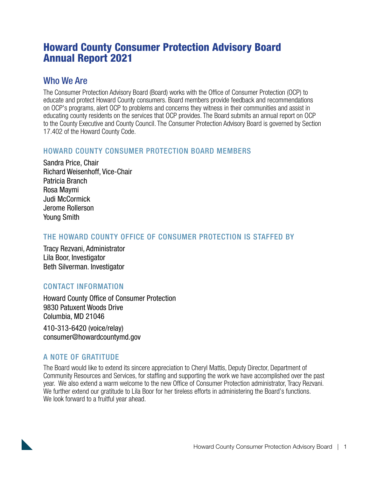# Howard County Consumer Protection Advisory Board Annual Report 2021

#### Who We Are

The Consumer Protection Advisory Board (Board) works with the Office of Consumer Protection (OCP) to educate and protect Howard County consumers. Board members provide feedback and recommendations on OCP's programs, alert OCP to problems and concerns they witness in their communities and assist in educating county residents on the services that OCP provides. The Board submits an annual report on OCP to the County Executive and County Council. The Consumer Protection Advisory Board is governed by Section 17.402 of the Howard County Code.

#### HOWARD COUNTY CONSUMER PROTECTION BOARD MEMBERS

Sandra Price, Chair Richard Weisenhoff, Vice-Chair Patricia Branch Rosa Maymi Judi McCormick Jerome Rollerson Young Smith

#### THE HOWARD COUNTY OFFICE OF CONSUMER PROTECTION IS STAFFED BY

Tracy Rezvani, Administrator Lila Boor, Investigator Beth Silverman. Investigator

#### CONTACT INFORMATION

Howard County Office of Consumer Protection 9830 Patuxent Woods Drive Columbia, MD 21046

410-313-6420 (voice/relay) consumer@howardcountymd.gov

#### A NOTE OF GRATITUDE

The Board would like to extend its sincere appreciation to Cheryl Mattis, Deputy Director, Department of Community Resources and Services, for staffing and supporting the work we have accomplished over the past year. We also extend a warm welcome to the new Office of Consumer Protection administrator, Tracy Rezvani. We further extend our gratitude to Lila Boor for her tireless efforts in administering the Board's functions. We look forward to a fruitful year ahead.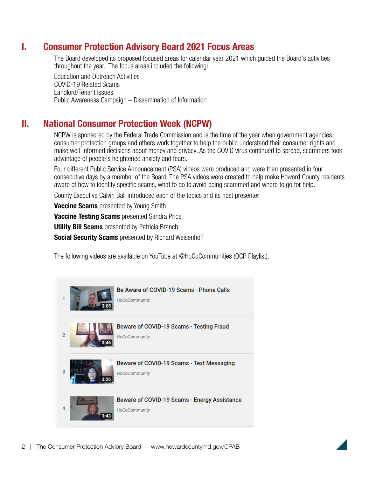### I. Consumer Protection Advisory Board 2021 Focus Areas

 The Board developed its proposed focused areas for calendar year 2021 which guided the Board's activities throughout the year. The focus areas included the following:

 Education and Outreach Activities COVID-19 Related Scams Landlord/Tenant Issues Public Awareness Campaign – Dissemination of Information

## II. National Consumer Protection Week (NCPW)

 NCPW is sponsored by the Federal Trade Commission and is the time of the year when government agencies, consumer protection groups and others work together to help the public understand their consumer rights and make well-informed decisions about money and privacy. As the COVID virus continued to spread, scammers took advantage of people's heightened anxiety and fears.

 Four different Public Service Announcement (PSA) videos were produced and were then presented in four consecutive days by a member of the Board. The PSA videos were created to help make Howard County residents aware of how to identify specific scams, what to do to avoid being scammed and where to go for help.

County Executive Calvin Ball introduced each of the topics and its host presenter:

**Vaccine Scams** presented by Young Smith

**Vaccine Testing Scams** presented Sandra Price

**Utility Bill Scams** presented by Patricia Branch

**Social Security Scams** presented by Richard Weisenhoff

The following videos are available on YouTube at @HoCoCommunities (OCP Playlist).



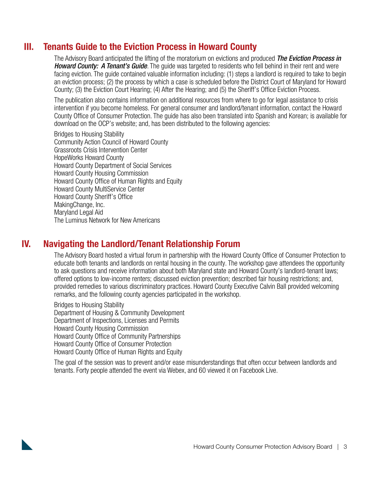## III. Tenants Guide to the Eviction Process in Howard County

 The Advisory Board anticipated the lifting of the moratorium on evictions and produced *The Eviction Process in Howard County: A Tenant's Guide*. The guide was targeted to residents who fell behind in their rent and were facing eviction. The guide contained valuable information including: (1) steps a landlord is required to take to begin an eviction process; (2) the process by which a case is scheduled before the District Court of Maryland for Howard County; (3) the Eviction Court Hearing; (4) After the Hearing; and (5) the Sheriff's Office Eviction Process.

 The publication also contains information on additional resources from where to go for legal assistance to crisis intervention if you become homeless. For general consumer and landlord/tenant information, contact the Howard County Office of Consumer Protection. The guide has also been translated into Spanish and Korean; is available for download on the OCP's website; and, has been distributed to the following agencies:

 Bridges to Housing Stability Community Action Council of Howard County Grassroots Crisis Intervention Center HopeWorks Howard County Howard County Department of Social Services Howard County Housing Commission Howard County Office of Human Rights and Equity Howard County MultiService Center Howard County Sheriff's Office MakingChange, Inc. Maryland Legal Aid The Luminus Network for New Americans

### IV. Navigating the Landlord/Tenant Relationship Forum

 The Advisory Board hosted a virtual forum in partnership with the Howard County Office of Consumer Protection to educate both tenants and landlords on rental housing in the county. The workshop gave attendees the opportunity to ask questions and receive information about both Maryland state and Howard County's landlord-tenant laws; offered options to low-income renters; discussed eviction prevention; described fair housing restrictions; and, provided remedies to various discriminatory practices. Howard County Executive Calvin Ball provided welcoming remarks, and the following county agencies participated in the workshop.

 Bridges to Housing Stability Department of Housing & Community Development Department of Inspections, Licenses and Permits Howard County Housing Commission Howard County Office of Community Partnerships Howard County Office of Consumer Protection Howard County Office of Human Rights and Equity

 The goal of the session was to prevent and/or ease misunderstandings that often occur between landlords and tenants. Forty people attended the event via Webex, and 60 viewed it on Facebook Live.

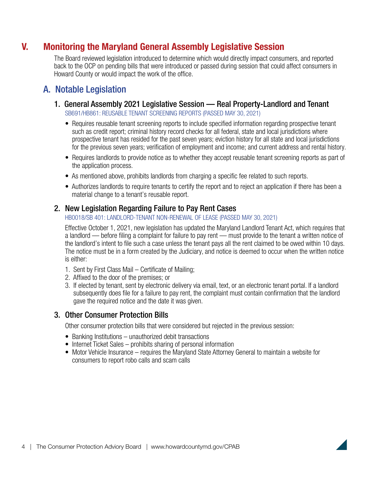## V. Monitoring the Maryland General Assembly Legislative Session

 The Board reviewed legislation introduced to determine which would directly impact consumers, and reported back to the OCP on pending bills that were introduced or passed during session that could affect consumers in Howard County or would impact the work of the office.

### A. Notable Legislation

1. General Assembly 2021 Legislative Session — Real Property-Landlord and Tenant

SB691/HB861: REUSABLE TENANT SCREENING REPORTS (PASSED MAY 30, 2021)

- Requires reusable tenant screening reports to include specified information regarding prospective tenant such as credit report; criminal history record checks for all federal, state and local jurisdictions where prospective tenant has resided for the past seven years; eviction history for all state and local jurisdictions for the previous seven years; verification of employment and income; and current address and rental history.
- Requires landlords to provide notice as to whether they accept reusable tenant screening reports as part of the application process.
- As mentioned above, prohibits landlords from charging a specific fee related to such reports.
- Authorizes landlords to require tenants to certify the report and to reject an application if there has been a material change to a tenant's reusable report.

#### 2. New Legislation Regarding Failure to Pay Rent Cases

HB0018/SB 401: LANDLORD-TENANT NON-RENEWAL OF LEASE (PASSED MAY 30, 2021)

 Effective October 1, 2021, new legislation has updated the Maryland Landlord Tenant Act, which requires that a landlord — before filing a complaint for failure to pay rent — must provide to the tenant a written notice of the landlord's intent to file such a case unless the tenant pays all the rent claimed to be owed within 10 days. The notice must be in a form created by the Judiciary, and notice is deemed to occur when the written notice is either:

- 1. Sent by First Class Mail Certificate of Mailing;
- 2. Affixed to the door of the premises; or
- 3. If elected by tenant, sent by electronic delivery via email, text, or an electronic tenant portal. If a landlord subsequently does file for a failure to pay rent, the complaint must contain confirmation that the landlord gave the required notice and the date it was given.

#### 3. Other Consumer Protection Bills

Other consumer protection bills that were considered but rejected in the previous session:

- Banking Institutions unauthorized debit transactions
- Internet Ticket Sales prohibits sharing of personal information
- Motor Vehicle Insurance requires the Maryland State Attorney General to maintain a website for consumers to report robo calls and scam calls